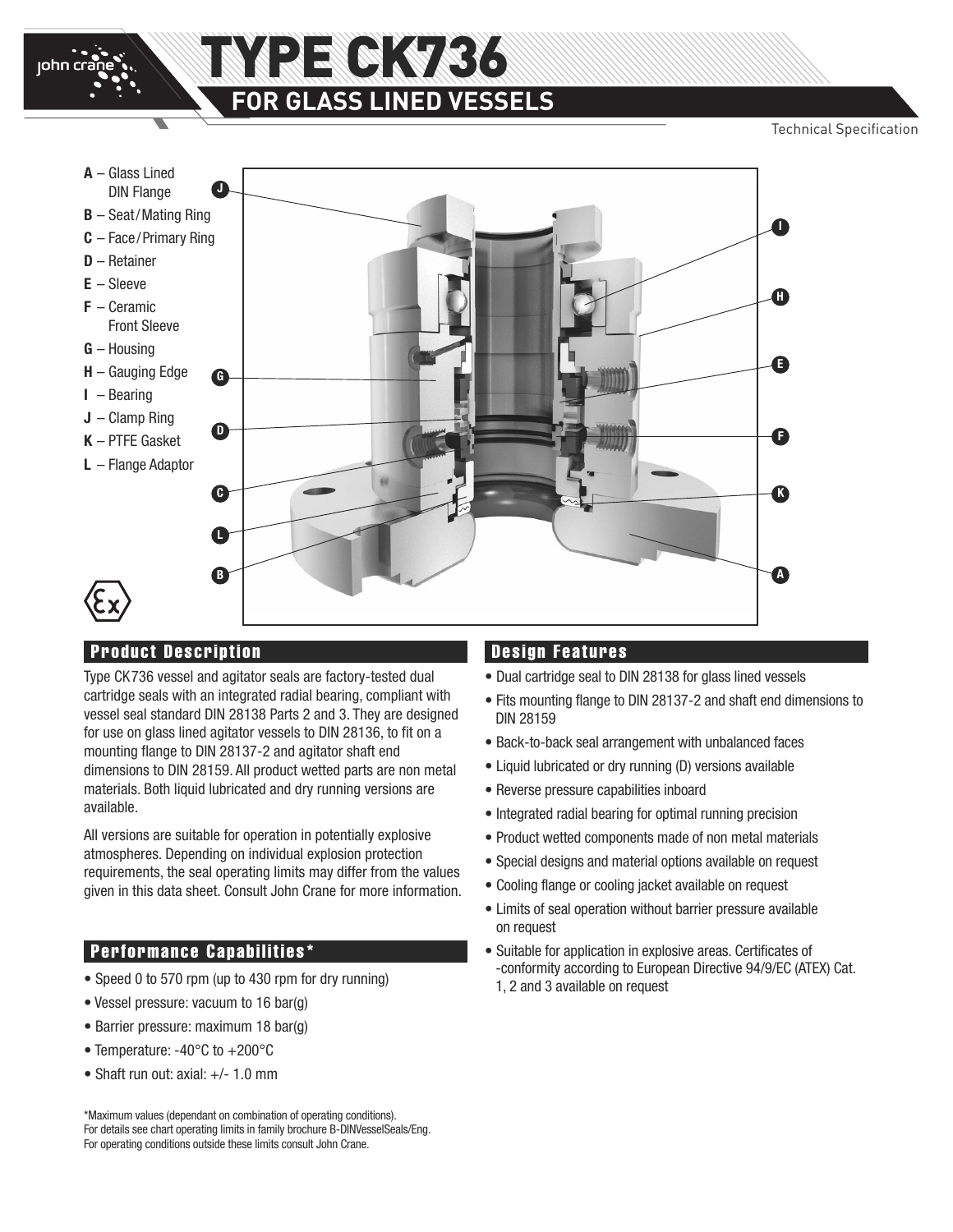

# **NYPE CK736 FOR GLASS LINED VESSELS**

Technical Specification



### **Product Description**

Type CK736 vessel and agitator seals are factory-tested dual cartridge seals with an integrated radial bearing, compliant with vessel seal standard DIN 28138 Parts 2 and 3. They are designed for use on glass lined agitator vessels to DIN 28136, to fit on a mounting flange to DIN 28137-2 and agitator shaft end dimensions to DIN 28159. All product wetted parts are non metal materials. Both liquid lubricated and dry running versions are available.

All versions are suitable for operation in potentially explosive atmospheres. Depending on individual explosion protection requirements, the seal operating limits may differ from the values given in this data sheet. Consult John Crane for more information.

#### **Performance Capabilities\***

- Speed 0 to 570 rpm (up to 430 rpm for dry running)
- Vessel pressure: vacuum to 16 bar(g)
- Barrier pressure: maximum 18 bar(g)
- Temperature: -40°C to +200°C
- Shaft run out:  $axial: +/- 1.0$  mm

\*Maximum values (dependant on combination of operating conditions). For details see chart operating limits in family brochure B-DINVesselSeals/Eng. For operating conditions outside these limits consult John Crane.

#### **Design Features**

- Dual cartridge seal to DIN 28138 for glass lined vessels
- Fits mounting flange to DIN 28137-2 and shaft end dimensions to DIN 28159
- Back-to-back seal arrangement with unbalanced faces
- Liquid lubricated or dry running (D) versions available
- Reverse pressure capabilities inboard
- Integrated radial bearing for optimal running precision
- Product wetted components made of non metal materials
- Special designs and material options available on request
- Cooling flange or cooling jacket available on request
- Limits of seal operation without barrier pressure available on request
- Suitable for application in explosive areas. Certificates of -conformity according to European Directive 94/9/EC (ATEX) Cat. 1, 2 and 3 available on request